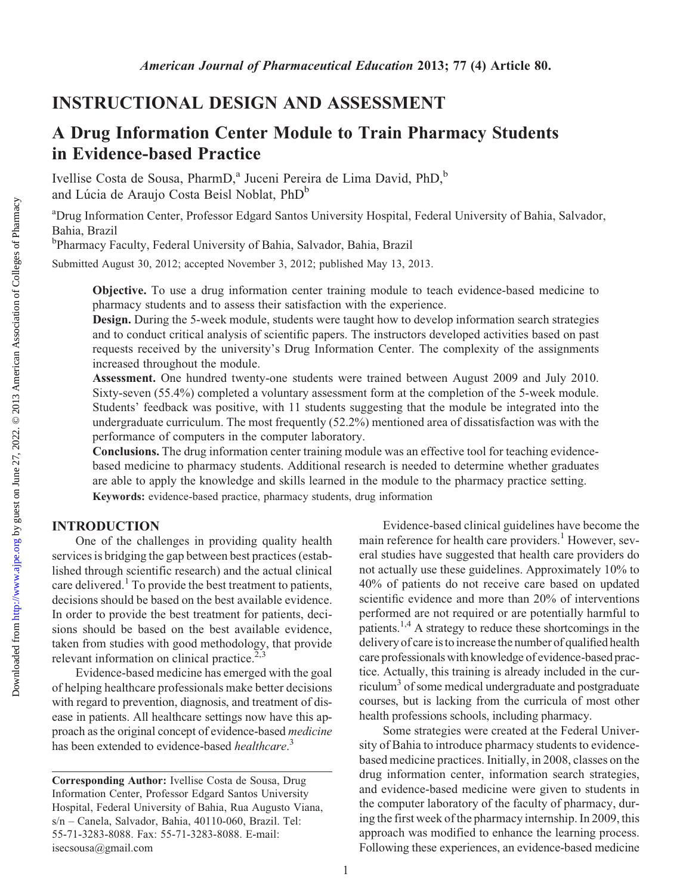# A Drug Information Center Module to Train Pharmacy Students in Evidence-based Practice

Ivellise Costa de Sousa, PharmD,<sup>a</sup> Juceni Pereira de Lima David, PhD,<sup>b</sup> and Lúcia de Araujo Costa Beisl Noblat, PhD<sup>b</sup>

<sup>a</sup>Drug Information Center, Professor Edgard Santos University Hospital, Federal University of Bahia, Salvador, Bahia, Brazil

b Pharmacy Faculty, Federal University of Bahia, Salvador, Bahia, Brazil

Submitted August 30, 2012; accepted November 3, 2012; published May 13, 2013.

Objective. To use a drug information center training module to teach evidence-based medicine to pharmacy students and to assess their satisfaction with the experience.

Design. During the 5-week module, students were taught how to develop information search strategies and to conduct critical analysis of scientific papers. The instructors developed activities based on past requests received by the university's Drug Information Center. The complexity of the assignments increased throughout the module.

Assessment. One hundred twenty-one students were trained between August 2009 and July 2010. Sixty-seven (55.4%) completed a voluntary assessment form at the completion of the 5-week module. Students' feedback was positive, with 11 students suggesting that the module be integrated into the undergraduate curriculum. The most frequently (52.2%) mentioned area of dissatisfaction was with the performance of computers in the computer laboratory.

Conclusions. The drug information center training module was an effective tool for teaching evidencebased medicine to pharmacy students. Additional research is needed to determine whether graduates are able to apply the knowledge and skills learned in the module to the pharmacy practice setting. Keywords: evidence-based practice, pharmacy students, drug information

## INTRODUCTION

One of the challenges in providing quality health services is bridging the gap between best practices (established through scientific research) and the actual clinical care delivered.<sup>1</sup> To provide the best treatment to patients, decisions should be based on the best available evidence. In order to provide the best treatment for patients, decisions should be based on the best available evidence, taken from studies with good methodology, that provide relevant information on clinical practice. $2,3$ 

Evidence-based medicine has emerged with the goal of helping healthcare professionals make better decisions with regard to prevention, diagnosis, and treatment of disease in patients. All healthcare settings now have this approach as the original concept of evidence-based medicine has been extended to evidence-based healthcare.<sup>3</sup>

Evidence-based clinical guidelines have become the main reference for health care providers.<sup>1</sup> However, several studies have suggested that health care providers do not actually use these guidelines. Approximately 10% to 40% of patients do not receive care based on updated scientific evidence and more than 20% of interventions performed are not required or are potentially harmful to patients.<sup>1,4</sup> A strategy to reduce these shortcomings in the delivery of care is to increase the number of qualified health care professionals with knowledge of evidence-based practice. Actually, this training is already included in the curriculum $3$  of some medical undergraduate and postgraduate courses, but is lacking from the curricula of most other health professions schools, including pharmacy.

Some strategies were created at the Federal University of Bahia to introduce pharmacy students to evidencebased medicine practices. Initially, in 2008, classes on the drug information center, information search strategies, and evidence-based medicine were given to students in the computer laboratory of the faculty of pharmacy, during the first week of the pharmacy internship. In 2009, this approach was modified to enhance the learning process. Following these experiences, an evidence-based medicine

Corresponding Author: Ivellise Costa de Sousa, Drug Information Center, Professor Edgard Santos University Hospital, Federal University of Bahia, Rua Augusto Viana, s/n – Canela, Salvador, Bahia, 40110-060, Brazil. Tel: 55-71-3283-8088. Fax: 55-71-3283-8088. E-mail: isecsousa@gmail.com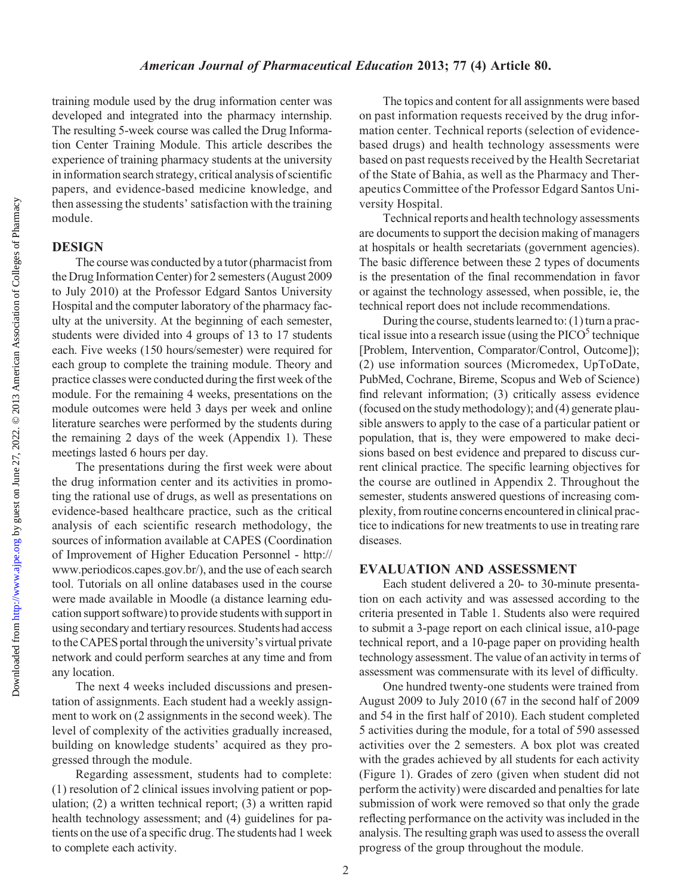training module used by the drug information center was developed and integrated into the pharmacy internship. The resulting 5-week course was called the Drug Information Center Training Module. This article describes the experience of training pharmacy students at the university in information search strategy, critical analysis of scientific papers, and evidence-based medicine knowledge, and then assessing the students' satisfaction with the training module.

## DESIGN

The course was conducted by a tutor (pharmacist from the Drug Information Center) for 2 semesters (August 2009 to July 2010) at the Professor Edgard Santos University Hospital and the computer laboratory of the pharmacy faculty at the university. At the beginning of each semester, students were divided into 4 groups of 13 to 17 students each. Five weeks (150 hours/semester) were required for each group to complete the training module. Theory and practice classes were conducted during the first week of the module. For the remaining 4 weeks, presentations on the module outcomes were held 3 days per week and online literature searches were performed by the students during the remaining 2 days of the week (Appendix 1). These meetings lasted 6 hours per day.

The presentations during the first week were about the drug information center and its activities in promoting the rational use of drugs, as well as presentations on evidence-based healthcare practice, such as the critical analysis of each scientific research methodology, the sources of information available at CAPES (Coordination of Improvement of Higher Education Personnel - http:// www.periodicos.capes.gov.br/), and the use of each search tool. Tutorials on all online databases used in the course were made available in Moodle (a distance learning education support software) to provide students with support in using secondary and tertiary resources. Students had access to the CAPES portal through the university's virtual private network and could perform searches at any time and from any location.

The next 4 weeks included discussions and presentation of assignments. Each student had a weekly assignment to work on (2 assignments in the second week). The level of complexity of the activities gradually increased, building on knowledge students' acquired as they progressed through the module.

Regarding assessment, students had to complete: (1) resolution of 2 clinical issues involving patient or population; (2) a written technical report; (3) a written rapid health technology assessment; and (4) guidelines for patients on the use of a specific drug. The students had 1 week to complete each activity.

The topics and content for all assignments were based on past information requests received by the drug information center. Technical reports (selection of evidencebased drugs) and health technology assessments were based on past requests received by the Health Secretariat of the State of Bahia, as well as the Pharmacy and Therapeutics Committee of the Professor Edgard Santos University Hospital.

Technical reports and health technology assessments are documents to support the decision making of managers at hospitals or health secretariats (government agencies). The basic difference between these 2 types of documents is the presentation of the final recommendation in favor or against the technology assessed, when possible, ie, the technical report does not include recommendations.

During the course, students learned to:  $(1)$  turn a practical issue into a research issue (using the  $PICO<sup>5</sup>$  technique [Problem, Intervention, Comparator/Control, Outcome]); (2) use information sources (Micromedex, UpToDate, PubMed, Cochrane, Bireme, Scopus and Web of Science) find relevant information; (3) critically assess evidence (focused on the study methodology); and (4) generate plausible answers to apply to the case of a particular patient or population, that is, they were empowered to make decisions based on best evidence and prepared to discuss current clinical practice. The specific learning objectives for the course are outlined in Appendix 2. Throughout the semester, students answered questions of increasing complexity, from routine concerns encounteredin clinical practice to indications for new treatments to use in treating rare diseases.

## EVALUATION AND ASSESSMENT

Each student delivered a 20- to 30-minute presentation on each activity and was assessed according to the criteria presented in Table 1. Students also were required to submit a 3-page report on each clinical issue, a10-page technical report, and a 10-page paper on providing health technology assessment. The value of an activity in terms of assessment was commensurate with its level of difficulty.

One hundred twenty-one students were trained from August 2009 to July 2010 (67 in the second half of 2009 and 54 in the first half of 2010). Each student completed 5 activities during the module, for a total of 590 assessed activities over the 2 semesters. A box plot was created with the grades achieved by all students for each activity (Figure 1). Grades of zero (given when student did not perform the activity) were discarded and penalties for late submission of work were removed so that only the grade reflecting performance on the activity was included in the analysis. The resulting graph was used to assess the overall progress of the group throughout the module.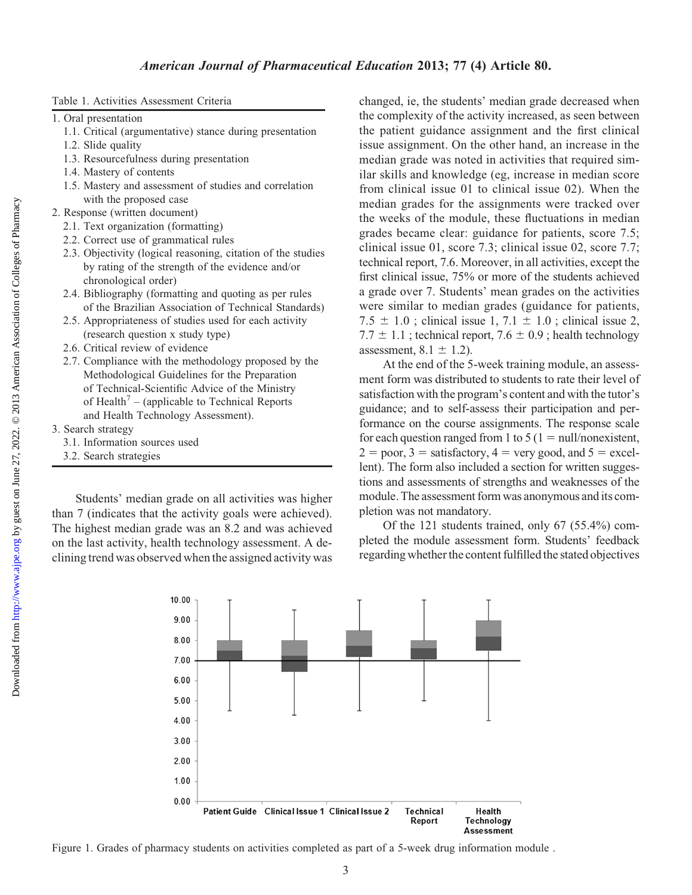- 1. Oral presentation
	- 1.1. Critical (argumentative) stance during presentation
	- 1.2. Slide quality
	- 1.3. Resourcefulness during presentation
	- 1.4. Mastery of contents
	- 1.5. Mastery and assessment of studies and correlation with the proposed case
- 2. Response (written document)
	- 2.1. Text organization (formatting)
	- 2.2. Correct use of grammatical rules
	- 2.3. Objectivity (logical reasoning, citation of the studies by rating of the strength of the evidence and/or chronological order)
	- 2.4. Bibliography (formatting and quoting as per rules of the Brazilian Association of Technical Standards)
	- 2.5. Appropriateness of studies used for each activity (research question x study type)
	- 2.6. Critical review of evidence
	- 2.7. Compliance with the methodology proposed by the Methodological Guidelines for the Preparation of Technical-Scientific Advice of the Ministry of Health<sup>7</sup> – (applicable to Technical Reports and Health Technology Assessment).
- 3. Search strategy
	- 3.1. Information sources used
	- 3.2. Search strategies

Students' median grade on all activities was higher than 7 (indicates that the activity goals were achieved). The highest median grade was an 8.2 and was achieved on the last activity, health technology assessment. A declining trend was observed when the assigned activity was changed, ie, the students' median grade decreased when the complexity of the activity increased, as seen between the patient guidance assignment and the first clinical issue assignment. On the other hand, an increase in the median grade was noted in activities that required similar skills and knowledge (eg, increase in median score from clinical issue 01 to clinical issue 02). When the median grades for the assignments were tracked over the weeks of the module, these fluctuations in median grades became clear: guidance for patients, score 7.5; clinical issue 01, score 7.3; clinical issue 02, score 7.7; technical report, 7.6. Moreover, in all activities, except the first clinical issue, 75% or more of the students achieved a grade over 7. Students' mean grades on the activities were similar to median grades (guidance for patients, 7.5  $\pm$  1.0; clinical issue 1, 7.1  $\pm$  1.0; clinical issue 2,  $7.7 \pm 1.1$ ; technical report,  $7.6 \pm 0.9$ ; health technology assessment,  $8.1 \pm 1.2$ ).

At the end of the 5-week training module, an assessment form was distributed to students to rate their level of satisfaction with the program's content and with the tutor's guidance; and to self-assess their participation and performance on the course assignments. The response scale for each question ranged from 1 to  $5(1 = \text{null}/\text{nonexistence})$ ,  $2 = poor, 3 = satisfactory, 4 = very good, and 5 = excel$ lent). The form also included a section for written suggestions and assessments of strengths and weaknesses of the module. The assessment form was anonymous and its completion was not mandatory.

Of the 121 students trained, only 67 (55.4%) completed the module assessment form. Students' feedback regarding whether the content fulfilled the stated objectives



Figure 1. Grades of pharmacy students on activities completed as part of a 5-week drug information module .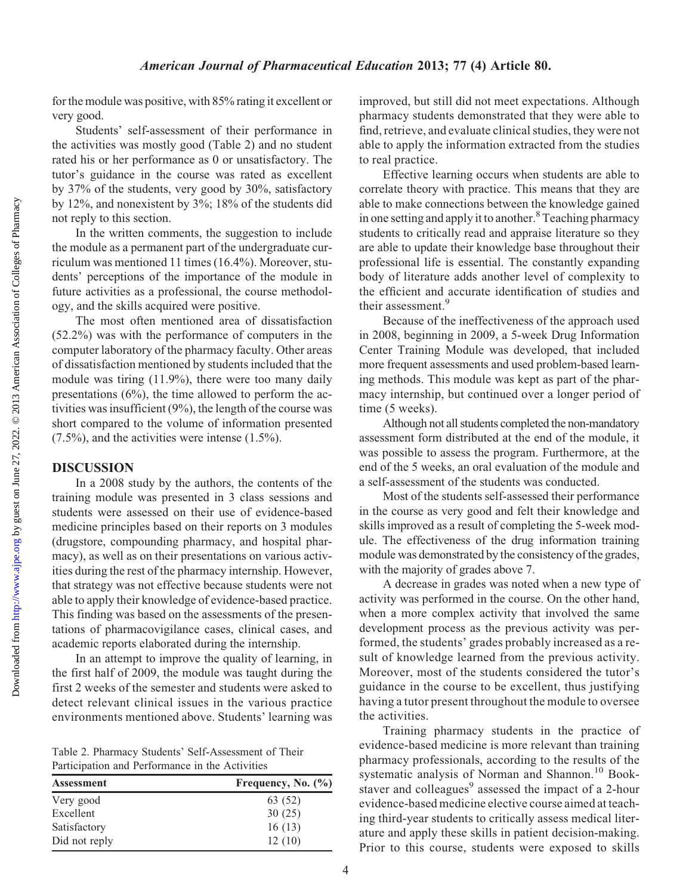### American Journal of Pharmaceutical Education 2013; 77 (4) Article 80.

for the module was positive, with 85% rating it excellent or very good.

Students' self-assessment of their performance in the activities was mostly good (Table 2) and no student rated his or her performance as 0 or unsatisfactory. The tutor's guidance in the course was rated as excellent by 37% of the students, very good by 30%, satisfactory by 12%, and nonexistent by 3%; 18% of the students did not reply to this section.

In the written comments, the suggestion to include the module as a permanent part of the undergraduate curriculum was mentioned 11 times (16.4%). Moreover, students' perceptions of the importance of the module in future activities as a professional, the course methodology, and the skills acquired were positive.

The most often mentioned area of dissatisfaction (52.2%) was with the performance of computers in the computer laboratory of the pharmacy faculty. Other areas of dissatisfaction mentioned by students included that the module was tiring (11.9%), there were too many daily presentations (6%), the time allowed to perform the activities was insufficient (9%), the length of the course was short compared to the volume of information presented (7.5%), and the activities were intense (1.5%).

#### DISCUSSION

In a 2008 study by the authors, the contents of the training module was presented in 3 class sessions and students were assessed on their use of evidence-based medicine principles based on their reports on 3 modules (drugstore, compounding pharmacy, and hospital pharmacy), as well as on their presentations on various activities during the rest of the pharmacy internship. However, that strategy was not effective because students were not able to apply their knowledge of evidence-based practice. This finding was based on the assessments of the presentations of pharmacovigilance cases, clinical cases, and academic reports elaborated during the internship.

In an attempt to improve the quality of learning, in the first half of 2009, the module was taught during the first 2 weeks of the semester and students were asked to detect relevant clinical issues in the various practice environments mentioned above. Students' learning was

Table 2. Pharmacy Students' Self-Assessment of Their Participation and Performance in the Activities

| Assessment    | Frequency, No. $(\% )$ |
|---------------|------------------------|
| Very good     | 63 (52)                |
| Excellent     | 30(25)                 |
| Satisfactory  | 16(13)                 |
| Did not reply | 12(10)                 |

improved, but still did not meet expectations. Although pharmacy students demonstrated that they were able to find, retrieve, and evaluate clinical studies, they were not able to apply the information extracted from the studies to real practice.

Effective learning occurs when students are able to correlate theory with practice. This means that they are able to make connections between the knowledge gained in one setting and apply it to another.<sup>8</sup> Teaching pharmacy students to critically read and appraise literature so they are able to update their knowledge base throughout their professional life is essential. The constantly expanding body of literature adds another level of complexity to the efficient and accurate identification of studies and their assessment.<sup>9</sup>

Because of the ineffectiveness of the approach used in 2008, beginning in 2009, a 5-week Drug Information Center Training Module was developed, that included more frequent assessments and used problem-based learning methods. This module was kept as part of the pharmacy internship, but continued over a longer period of time (5 weeks).

Although not all students completed the non-mandatory assessment form distributed at the end of the module, it was possible to assess the program. Furthermore, at the end of the 5 weeks, an oral evaluation of the module and a self-assessment of the students was conducted.

Most of the students self-assessed their performance in the course as very good and felt their knowledge and skills improved as a result of completing the 5-week module. The effectiveness of the drug information training module was demonstrated by the consistency of the grades, with the majority of grades above 7.

A decrease in grades was noted when a new type of activity was performed in the course. On the other hand, when a more complex activity that involved the same development process as the previous activity was performed, the students' grades probably increased as a result of knowledge learned from the previous activity. Moreover, most of the students considered the tutor's guidance in the course to be excellent, thus justifying having a tutor present throughout the module to oversee the activities.

Training pharmacy students in the practice of evidence-based medicine is more relevant than training pharmacy professionals, according to the results of the systematic analysis of Norman and Shannon.<sup>10</sup> Bookstaver and colleagues $9$  assessed the impact of a 2-hour evidence-based medicine elective course aimed at teaching third-year students to critically assess medical literature and apply these skills in patient decision-making. Prior to this course, students were exposed to skills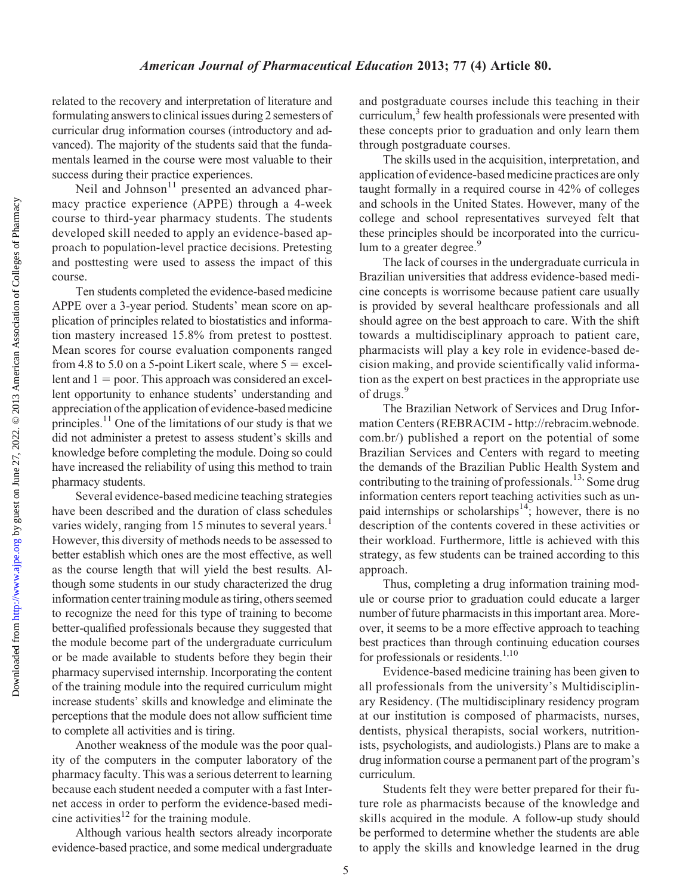related to the recovery and interpretation of literature and formulating answers to clinical issues during 2 semesters of curricular drug information courses (introductory and advanced). The majority of the students said that the fundamentals learned in the course were most valuable to their success during their practice experiences.

Neil and Johnson<sup>11</sup> presented an advanced pharmacy practice experience (APPE) through a 4-week course to third-year pharmacy students. The students developed skill needed to apply an evidence-based approach to population-level practice decisions. Pretesting and posttesting were used to assess the impact of this course.

Ten students completed the evidence-based medicine APPE over a 3-year period. Students' mean score on application of principles related to biostatistics and information mastery increased 15.8% from pretest to posttest. Mean scores for course evaluation components ranged from 4.8 to 5.0 on a 5-point Likert scale, where  $5 =$  excellent and  $1 =$  poor. This approach was considered an excellent opportunity to enhance students' understanding and appreciation of the application of evidence-based medicine principles.11 One of the limitations of our study is that we did not administer a pretest to assess student's skills and knowledge before completing the module. Doing so could have increased the reliability of using this method to train pharmacy students.

Several evidence-based medicine teaching strategies have been described and the duration of class schedules varies widely, ranging from 15 minutes to several years.<sup>1</sup> However, this diversity of methods needs to be assessed to better establish which ones are the most effective, as well as the course length that will yield the best results. Although some students in our study characterized the drug information center training module as tiring, others seemed to recognize the need for this type of training to become better-qualified professionals because they suggested that the module become part of the undergraduate curriculum or be made available to students before they begin their pharmacy supervised internship. Incorporating the content of the training module into the required curriculum might increase students' skills and knowledge and eliminate the perceptions that the module does not allow sufficient time to complete all activities and is tiring.

Another weakness of the module was the poor quality of the computers in the computer laboratory of the pharmacy faculty. This was a serious deterrent to learning because each student needed a computer with a fast Internet access in order to perform the evidence-based medicine activities $12$  for the training module.

Although various health sectors already incorporate evidence-based practice, and some medical undergraduate and postgraduate courses include this teaching in their curriculum,<sup>3</sup> few health professionals were presented with these concepts prior to graduation and only learn them through postgraduate courses.

The skills used in the acquisition, interpretation, and application of evidence-based medicine practices are only taught formally in a required course in 42% of colleges and schools in the United States. However, many of the college and school representatives surveyed felt that these principles should be incorporated into the curriculum to a greater degree.<sup>9</sup>

The lack of courses in the undergraduate curricula in Brazilian universities that address evidence-based medicine concepts is worrisome because patient care usually is provided by several healthcare professionals and all should agree on the best approach to care. With the shift towards a multidisciplinary approach to patient care, pharmacists will play a key role in evidence-based decision making, and provide scientifically valid information as the expert on best practices in the appropriate use of drugs.<sup>9</sup>

The Brazilian Network of Services and Drug Information Centers (REBRACIM - http://rebracim.webnode. com.br/) published a report on the potential of some Brazilian Services and Centers with regard to meeting the demands of the Brazilian Public Health System and contributing to the training of professionals.<sup>13,</sup> Some drug information centers report teaching activities such as unpaid internships or scholarships<sup>14</sup>; however, there is no description of the contents covered in these activities or their workload. Furthermore, little is achieved with this strategy, as few students can be trained according to this approach.

Thus, completing a drug information training module or course prior to graduation could educate a larger number of future pharmacists in this important area. Moreover, it seems to be a more effective approach to teaching best practices than through continuing education courses for professionals or residents.<sup>1,10</sup>

Evidence-based medicine training has been given to all professionals from the university's Multidisciplinary Residency. (The multidisciplinary residency program at our institution is composed of pharmacists, nurses, dentists, physical therapists, social workers, nutritionists, psychologists, and audiologists.) Plans are to make a drug information course a permanent part of the program's curriculum.

Students felt they were better prepared for their future role as pharmacists because of the knowledge and skills acquired in the module. A follow-up study should be performed to determine whether the students are able to apply the skills and knowledge learned in the drug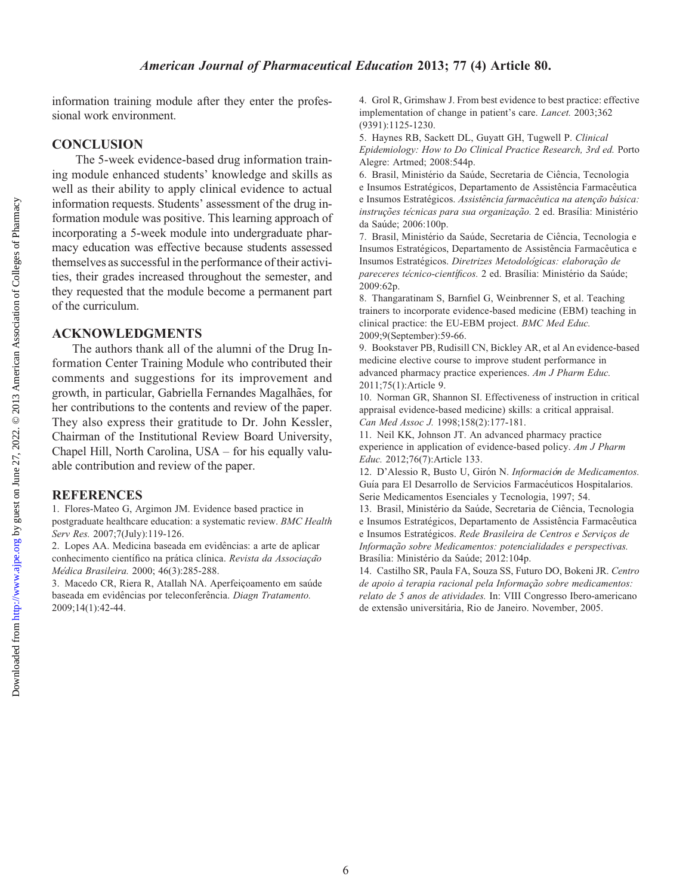#### American Journal of Pharmaceutical Education 2013; 77 (4) Article 80.

information training module after they enter the professional work environment.

## **CONCLUSION**

The 5-week evidence-based drug information training module enhanced students' knowledge and skills as well as their ability to apply clinical evidence to actual information requests. Students' assessment of the drug information module was positive. This learning approach of incorporating a 5-week module into undergraduate pharmacy education was effective because students assessed themselves as successful in the performance of their activities, their grades increased throughout the semester, and they requested that the module become a permanent part of the curriculum.

## ACKNOWLEDGMENTS

The authors thank all of the alumni of the Drug Information Center Training Module who contributed their comments and suggestions for its improvement and growth, in particular, Gabriella Fernandes Magalhães, for her contributions to the contents and review of the paper. They also express their gratitude to Dr. John Kessler, Chairman of the Institutional Review Board University, Chapel Hill, North Carolina, USA – for his equally valuable contribution and review of the paper.

#### REFERENCES

1. Flores-Mateo G, Argimon JM. Evidence based practice in postgraduate healthcare education: a systematic review. BMC Health Serv Res. 2007;7(July):119-126.

2. Lopes AA. Medicina baseada em evidências: a arte de aplicar conhecimento científico na prática clínica. Revista da Associação Médica Brasileira. 2000; 46(3):285-288.

3. Macedo CR, Riera R, Atallah NA. Aperfeiçoamento em saúde baseada em evidências por teleconferência. Diagn Tratamento. 2009;14(1):42-44.

4. Grol R, Grimshaw J. From best evidence to best practice: effective implementation of change in patient's care. Lancet. 2003;362 (9391):1125-1230.

5. Haynes RB, Sackett DL, Guyatt GH, Tugwell P. Clinical Epidemiology: How to Do Clinical Practice Research, 3rd ed. Porto Alegre: Artmed; 2008:544p.

6. Brasil, Ministério da Saúde, Secretaria de Ciência, Tecnologia e Insumos Estratégicos, Departamento de Assistência Farmacêutica e Insumos Estratégicos. Assistência farmacêutica na atenção básica: instruções técnicas para sua organização. 2 ed. Brasília: Ministério da Saúde; 2006:100p.

7. Brasil, Ministério da Saúde, Secretaria de Ciência, Tecnologia e Insumos Estratégicos, Departamento de Assistência Farmacêutica e Insumos Estratégicos. Diretrizes Metodológicas: elaboração de pareceres técnico-científicos. 2 ed. Brasília: Ministério da Saúde; 2009:62p.

8. Thangaratinam S, Barnfiel G, Weinbrenner S, et al. Teaching trainers to incorporate evidence-based medicine (EBM) teaching in clinical practice: the EU-EBM project. BMC Med Educ. 2009;9(September):59-66.

9. Bookstaver PB, Rudisill CN, Bickley AR, et al An evidence-based medicine elective course to improve student performance in advanced pharmacy practice experiences. Am J Pharm Educ. 2011;75(1):Article 9.

10. Norman GR, Shannon SI. Effectiveness of instruction in critical appraisal evidence-based medicine) skills: a critical appraisal. Can Med Assoc J. 1998;158(2):177-181.

11. Neil KK, Johnson JT. An advanced pharmacy practice experience in application of evidence-based policy. Am J Pharm Educ. 2012;76(7):Article 133.

12. D'Alessio R, Busto U, Girón N. Información de Medicamentos. Guía para El Desarrollo de Servicios Farmacéuticos Hospitalarios. Serie Medicamentos Esenciales y Tecnologia, 1997; 54.

13. Brasil, Ministério da Saúde, Secretaria de Ciência, Tecnologia e Insumos Estratégicos, Departamento de Assistência Farmacêutica e Insumos Estratégicos. Rede Brasileira de Centros e Serviços de Informação sobre Medicamentos: potencialidades e perspectivas. Brasília: Ministério da Saúde; 2012:104p.

14. Castilho SR, Paula FA, Souza SS, Futuro DO, Bokeni JR. Centro de apoio à terapia racional pela Informação sobre medicamentos: relato de 5 anos de atividades. In: VIII Congresso Ibero-americano de extensão universitária, Rio de Janeiro. November, 2005.